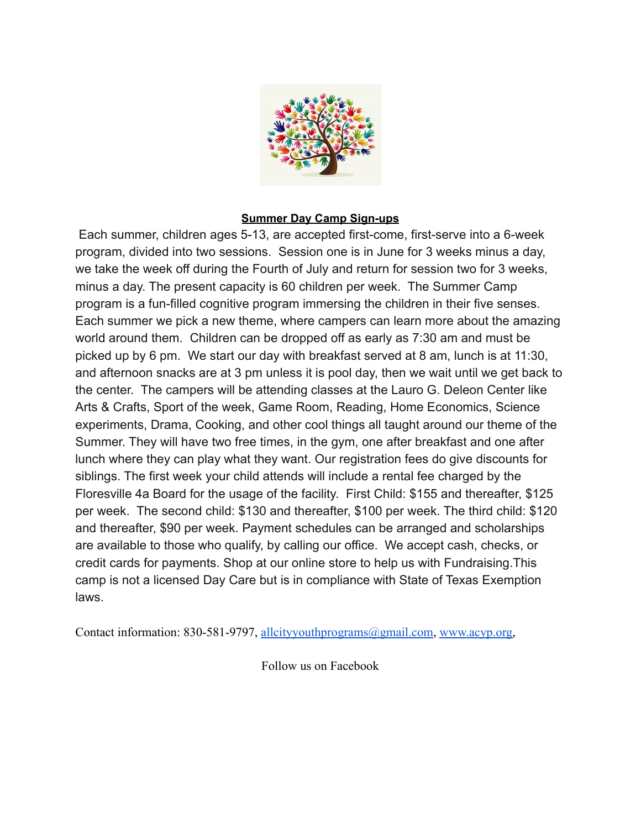

### **Summer Day Camp Sign-ups**

Each summer, children ages 5-13, are accepted first-come, first-serve into a 6-week program, divided into two sessions. Session one is in June for 3 weeks minus a day, we take the week off during the Fourth of July and return for session two for 3 weeks, minus a day. The present capacity is 60 children per week. The Summer Camp program is a fun-filled cognitive program immersing the children in their five senses. Each summer we pick a new theme, where campers can learn more about the amazing world around them. Children can be dropped off as early as 7:30 am and must be picked up by 6 pm. We start our day with breakfast served at 8 am, lunch is at 11:30, and afternoon snacks are at 3 pm unless it is pool day, then we wait until we get back to the center. The campers will be attending classes at the Lauro G. Deleon Center like Arts & Crafts, Sport of the week, Game Room, Reading, Home Economics, Science experiments, Drama, Cooking, and other cool things all taught around our theme of the Summer. They will have two free times, in the gym, one after breakfast and one after lunch where they can play what they want. Our registration fees do give discounts for siblings. The first week your child attends will include a rental fee charged by the Floresville 4a Board for the usage of the facility. First Child: \$155 and thereafter, \$125 per week. The second child: \$130 and thereafter, \$100 per week. The third child: \$120 and thereafter, \$90 per week. Payment schedules can be arranged and scholarships are available to those who qualify, by calling our office. We accept cash, checks, or credit cards for payments. Shop at our online store to help us with Fundraising.This camp is not a licensed Day Care but is in compliance with State of Texas Exemption laws.

Contact information: 830-581-9797, [allcityyouthprograms@gmail.com,](mailto:allcityyouthprograms@gmail.com) [www.acyp.org,](http://www.acyp.org)

Follow us on Facebook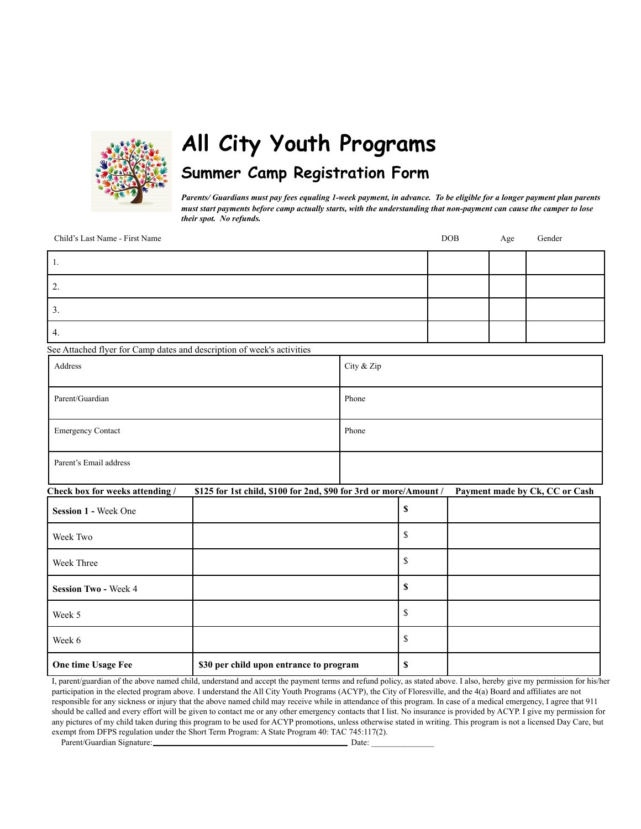

# **All City Youth Programs Summer Camp Registration Form**

Parents/ Guardians must pay fees equaling 1-week payment, in advance. To be eligible for a longer payment plan parents must start payments before camp actually starts, with the understanding that non-payment can cause the camper to lose *their spot. No refunds.*

Child's Last Name - First Name DOB Age Gender

See Attached flyer for Camp dates and description of week's activities

| Address                  | City & Zip |
|--------------------------|------------|
| Parent/Guardian          | Phone      |
| <b>Emergency Contact</b> | Phone      |
| Parent's Email address   |            |

#### **Check box for weeks attending / \$125 for 1st child, \$100 for 2nd, \$90 for 3rd or more/Amount / Payment made by Ck, CC or Cash**

| <b>Session 1 - Week One</b> |                                         | \$ |  |
|-----------------------------|-----------------------------------------|----|--|
| Week Two                    |                                         | ٠Β |  |
| Week Three                  |                                         | D  |  |
| <b>Session Two - Week 4</b> |                                         | S  |  |
| Week 5                      |                                         | Φ  |  |
| Week 6                      |                                         | J. |  |
| One time Usage Fee          | \$30 per child upon entrance to program | D  |  |

I, parent/guardian of the above named child, understand and accept the payment terms and refund policy, as stated above. I also, hereby give my permission for his/her participation in the elected program above. I understand the All City Youth Programs (ACYP), the City of Floresville, and the 4(a) Board and affiliates are not responsible for any sickness or injury that the above named child may receive while in attendance of this program. In case of a medical emergency, I agree that 911 should be called and every effort will be given to contact me or any other emergency contacts that I list. No insurance is provided by ACYP. I give my permission for any pictures of my child taken during this program to be used for ACYP promotions, unless otherwise stated in writing. This program is not a licensed Day Care, but exempt from DFPS regulation under the Short Term Program: A State Program 40: TAC 745:117(2).

Parent/Guardian Signature: Date: \_\_\_\_\_\_\_\_\_\_\_\_\_\_\_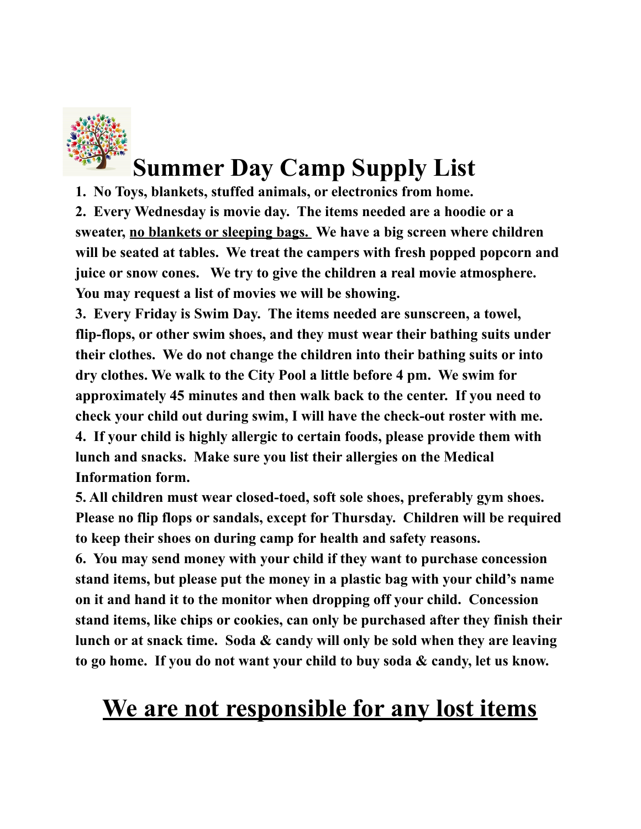

# **Summer Day Camp Supply List**

**1. No Toys, blankets, stuffed animals, or electronics from home.**

**2. Every Wednesday is movie day. The items needed are a hoodie or a sweater, no blankets or sleeping bags. We have a big screen where children will be seated at tables. We treat the campers with fresh popped popcorn and juice or snow cones. We try to give the children a real movie atmosphere. You may request a list of movies we will be showing.**

**3. Every Friday is Swim Day. The items needed are sunscreen, a towel, flip-flops, or other swim shoes, and they must wear their bathing suits under their clothes. We do not change the children into their bathing suits or into dry clothes. We walk to the City Pool a little before 4 pm. We swim for approximately 45 minutes and then walk back to the center. If you need to check your child out during swim, I will have the check-out roster with me. 4. If your child is highly allergic to certain foods, please provide them with lunch and snacks. Make sure you list their allergies on the Medical Information form.**

**5. All children must wear closed-toed, soft sole shoes, preferably gym shoes. Please no flip flops or sandals, except for Thursday. Children will be required to keep their shoes on during camp for health and safety reasons.**

**6. You may send money with your child if they want to purchase concession stand items, but please put the money in a plastic bag with your child's name on it and hand it to the monitor when dropping off your child. Concession stand items, like chips or cookies, can only be purchased after they finish their lunch or at snack time. Soda & candy will only be sold when they are leaving to go home. If you do not want your child to buy soda & candy, let us know.**

# **We are not responsible for any lost items**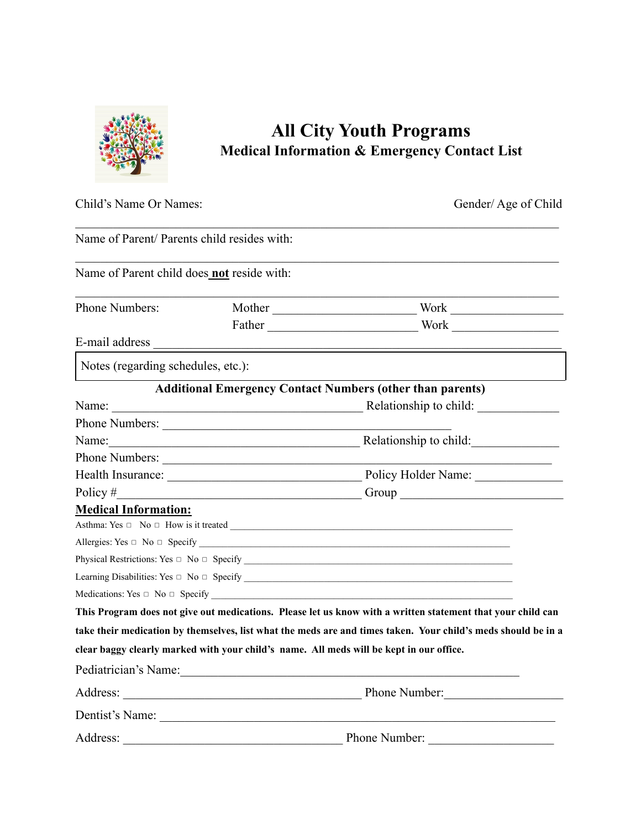

## **All City Youth Programs Medical Information & Emergency Contact List**

| Child's Name Or Names:                      |                                                                                                                       | Gender/Age of Child                                                                                           |  |
|---------------------------------------------|-----------------------------------------------------------------------------------------------------------------------|---------------------------------------------------------------------------------------------------------------|--|
| Name of Parent/ Parents child resides with: |                                                                                                                       |                                                                                                               |  |
| Name of Parent child does_not reside with:  |                                                                                                                       |                                                                                                               |  |
| Phone Numbers:                              |                                                                                                                       | Mother Work Work                                                                                              |  |
|                                             |                                                                                                                       |                                                                                                               |  |
|                                             |                                                                                                                       |                                                                                                               |  |
| Notes (regarding schedules, etc.):          |                                                                                                                       |                                                                                                               |  |
|                                             |                                                                                                                       | <b>Additional Emergency Contact Numbers (other than parents)</b>                                              |  |
|                                             |                                                                                                                       |                                                                                                               |  |
|                                             | Phone Numbers:                                                                                                        |                                                                                                               |  |
|                                             |                                                                                                                       | Name: <u>Name:</u> Relationship to child:                                                                     |  |
|                                             | Phone Numbers:                                                                                                        |                                                                                                               |  |
|                                             |                                                                                                                       | Health Insurance: Department of Policy Holder Name: Department of Policy Holder Name:                         |  |
| Policy $#$                                  | <u> 1989 - Johann Barn, mars eta bainar eta i</u>                                                                     |                                                                                                               |  |
| <b>Medical Information:</b>                 |                                                                                                                       |                                                                                                               |  |
|                                             |                                                                                                                       |                                                                                                               |  |
|                                             |                                                                                                                       |                                                                                                               |  |
|                                             |                                                                                                                       |                                                                                                               |  |
|                                             |                                                                                                                       |                                                                                                               |  |
|                                             |                                                                                                                       |                                                                                                               |  |
|                                             |                                                                                                                       | This Program does not give out medications. Please let us know with a written statement that your child can   |  |
|                                             |                                                                                                                       | take their medication by themselves, list what the meds are and times taken. Your child's meds should be in a |  |
|                                             |                                                                                                                       | clear baggy clearly marked with your child's name. All meds will be kept in our office.                       |  |
| Pediatrician's Name:                        | <u> 1989 - Johann Stein, marwolaethau a bhann an t-Amhain Aonaichte ann an t-Amhain Aonaichte ann an t-Amhain Aon</u> |                                                                                                               |  |
|                                             |                                                                                                                       | Phone Number:                                                                                                 |  |
|                                             |                                                                                                                       | Dentist's Name:                                                                                               |  |
|                                             |                                                                                                                       |                                                                                                               |  |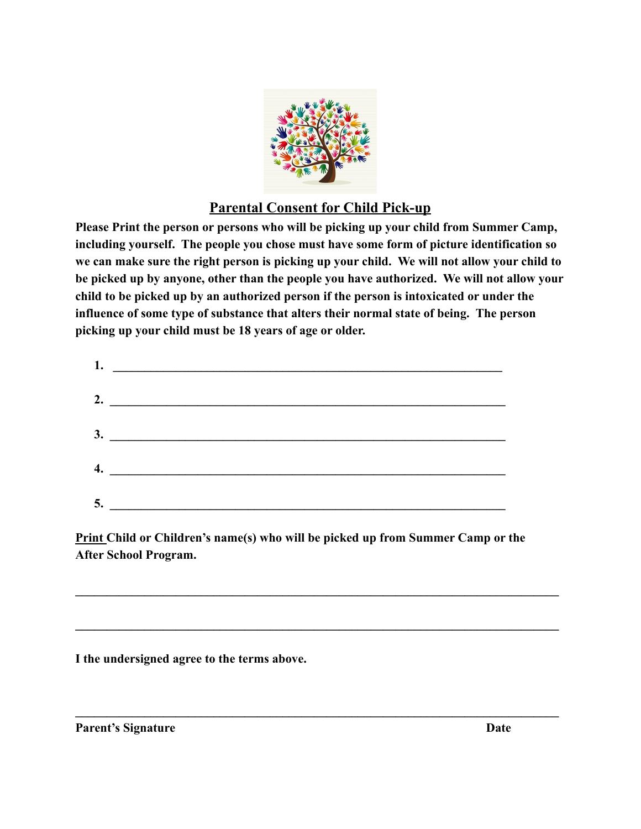

## **Parental Consent for Child Pick-up**

**Please Print the person or persons who will be picking up your child from Summer Camp, including yourself. The people you chose must have some form of picture identification so we can make sure the right person is picking up your child. We will not allow your child to be picked up by anyone, other than the people you have authorized. We will not allow your child to be picked up by an authorized person if the person is intoxicated or under the influence of some type of substance that alters their normal state of being. The person picking up your child must be 18 years of age or older.**

|    | 2. $\qquad \qquad$ |
|----|--------------------|
|    |                    |
|    |                    |
|    |                    |
|    |                    |
|    |                    |
| 5. |                    |

**Print Child or Children's name(s) who will be picked up from Summer Camp or the After School Program.**

 $\mathcal{L}_\mathcal{L} = \{ \mathcal{L}_\mathcal{L} = \{ \mathcal{L}_\mathcal{L} = \{ \mathcal{L}_\mathcal{L} = \{ \mathcal{L}_\mathcal{L} = \{ \mathcal{L}_\mathcal{L} = \{ \mathcal{L}_\mathcal{L} = \{ \mathcal{L}_\mathcal{L} = \{ \mathcal{L}_\mathcal{L} = \{ \mathcal{L}_\mathcal{L} = \{ \mathcal{L}_\mathcal{L} = \{ \mathcal{L}_\mathcal{L} = \{ \mathcal{L}_\mathcal{L} = \{ \mathcal{L}_\mathcal{L} = \{ \mathcal{L}_\mathcal{$ 

 $\mathcal{L}_\mathcal{L} = \{ \mathcal{L}_\mathcal{L} = \{ \mathcal{L}_\mathcal{L} = \{ \mathcal{L}_\mathcal{L} = \{ \mathcal{L}_\mathcal{L} = \{ \mathcal{L}_\mathcal{L} = \{ \mathcal{L}_\mathcal{L} = \{ \mathcal{L}_\mathcal{L} = \{ \mathcal{L}_\mathcal{L} = \{ \mathcal{L}_\mathcal{L} = \{ \mathcal{L}_\mathcal{L} = \{ \mathcal{L}_\mathcal{L} = \{ \mathcal{L}_\mathcal{L} = \{ \mathcal{L}_\mathcal{L} = \{ \mathcal{L}_\mathcal{$ 

 $\mathcal{L}_\mathcal{L} = \{ \mathcal{L}_\mathcal{L} = \{ \mathcal{L}_\mathcal{L} = \{ \mathcal{L}_\mathcal{L} = \{ \mathcal{L}_\mathcal{L} = \{ \mathcal{L}_\mathcal{L} = \{ \mathcal{L}_\mathcal{L} = \{ \mathcal{L}_\mathcal{L} = \{ \mathcal{L}_\mathcal{L} = \{ \mathcal{L}_\mathcal{L} = \{ \mathcal{L}_\mathcal{L} = \{ \mathcal{L}_\mathcal{L} = \{ \mathcal{L}_\mathcal{L} = \{ \mathcal{L}_\mathcal{L} = \{ \mathcal{L}_\mathcal{$ 

**I the undersigned agree to the terms above.**

**Parent's Signature Date**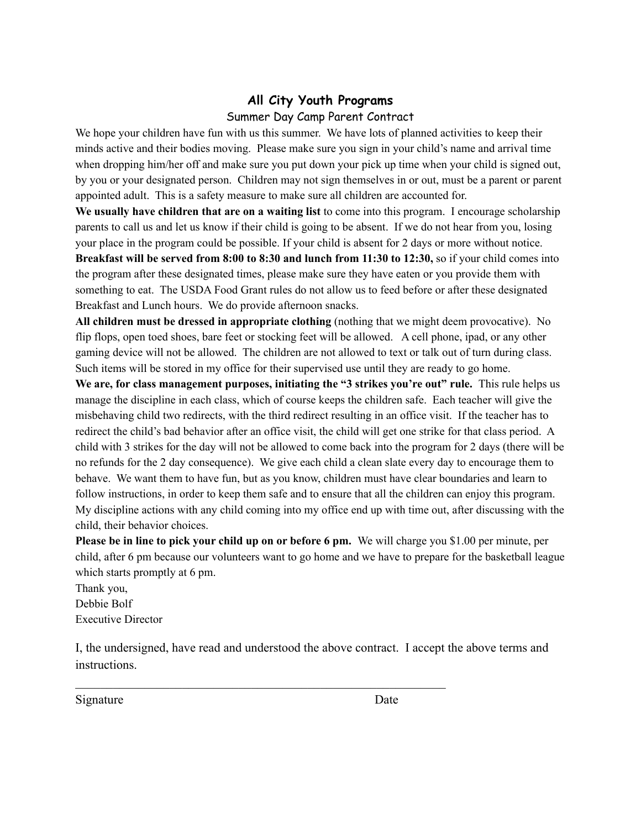## **All City Youth Programs**

### Summer Day Camp Parent Contract

We hope your children have fun with us this summer. We have lots of planned activities to keep their minds active and their bodies moving. Please make sure you sign in your child's name and arrival time when dropping him/her off and make sure you put down your pick up time when your child is signed out, by you or your designated person. Children may not sign themselves in or out, must be a parent or parent appointed adult. This is a safety measure to make sure all children are accounted for.

**We usually have children that are on a waiting list** to come into this program. I encourage scholarship parents to call us and let us know if their child is going to be absent. If we do not hear from you, losing your place in the program could be possible. If your child is absent for 2 days or more without notice. **Breakfast will be served from 8:00 to 8:30 and lunch from 11:30 to 12:30,** so if your child comes into the program after these designated times, please make sure they have eaten or you provide them with something to eat. The USDA Food Grant rules do not allow us to feed before or after these designated Breakfast and Lunch hours. We do provide afternoon snacks.

**All children must be dressed in appropriate clothing** (nothing that we might deem provocative). No flip flops, open toed shoes, bare feet or stocking feet will be allowed. A cell phone, ipad, or any other gaming device will not be allowed. The children are not allowed to text or talk out of turn during class. Such items will be stored in my office for their supervised use until they are ready to go home.

**We are, for class management purposes, initiating the "3 strikes you're out" rule.** This rule helps us manage the discipline in each class, which of course keeps the children safe. Each teacher will give the misbehaving child two redirects, with the third redirect resulting in an office visit. If the teacher has to redirect the child's bad behavior after an office visit, the child will get one strike for that class period. A child with 3 strikes for the day will not be allowed to come back into the program for 2 days (there will be no refunds for the 2 day consequence). We give each child a clean slate every day to encourage them to behave. We want them to have fun, but as you know, children must have clear boundaries and learn to follow instructions, in order to keep them safe and to ensure that all the children can enjoy this program. My discipline actions with any child coming into my office end up with time out, after discussing with the child, their behavior choices.

**Please be in line to pick your child up on or before 6 pm.** We will charge you \$1.00 per minute, per child, after 6 pm because our volunteers want to go home and we have to prepare for the basketball league which starts promptly at 6 pm.

Thank you, Debbie Bolf Executive Director

I, the undersigned, have read and understood the above contract. I accept the above terms and instructions.

 $\mathcal{L}_\text{max}$  and the contract of the contract of the contract of the contract of the contract of the contract of

Signature Date